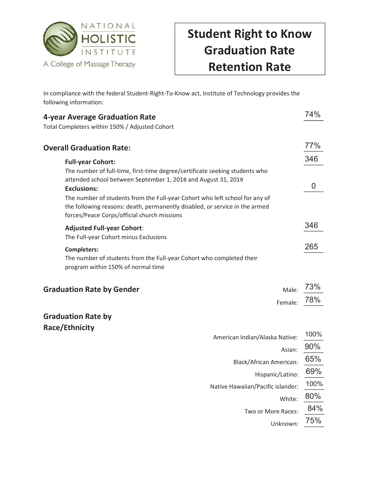

## Student Right to Know Graduation Rate Retention Rate

In compliance with the federal Student-Right-To-Know act, Institute of Technology provides the following information:

| 4-year Average Graduation Rate                                                                                                                                                                                                                                                                                                                                                                              | 74%                   |
|-------------------------------------------------------------------------------------------------------------------------------------------------------------------------------------------------------------------------------------------------------------------------------------------------------------------------------------------------------------------------------------------------------------|-----------------------|
| Total Completers within 150% / Adjusted Cohort                                                                                                                                                                                                                                                                                                                                                              |                       |
| <b>Overall Graduation Rate:</b>                                                                                                                                                                                                                                                                                                                                                                             | 77%                   |
| <b>Full-year Cohort:</b><br>The number of full-time, first-time degree/certificate seeking students who<br>attended school between September 1, 2018 and August 31, 2019<br><b>Exclusions:</b><br>The number of students from the Full-year Cohort who left school for any of<br>the following reasons: death, permanently disabled, or service in the armed<br>forces/Peace Corps/official church missions | 346<br>$\overline{0}$ |
| <b>Adjusted Full-year Cohort:</b><br>The Full-year Cohort minus Exclusions                                                                                                                                                                                                                                                                                                                                  | 346                   |
| <b>Completers:</b><br>The number of students from the Full-year Cohort who completed their<br>program within 150% of normal time                                                                                                                                                                                                                                                                            | 265                   |
| <b>Graduation Rate by Gender</b><br>Male:                                                                                                                                                                                                                                                                                                                                                                   | 73%                   |
| Female:                                                                                                                                                                                                                                                                                                                                                                                                     | 78%                   |
| <b>Graduation Rate by</b><br>Race/Ethnicity                                                                                                                                                                                                                                                                                                                                                                 |                       |
| American Indian/Alaska Native:                                                                                                                                                                                                                                                                                                                                                                              | 100%                  |
| Asian:                                                                                                                                                                                                                                                                                                                                                                                                      | 90%                   |
| <b>Black/African American:</b>                                                                                                                                                                                                                                                                                                                                                                              | 65%                   |
| Hispanic/Latino:                                                                                                                                                                                                                                                                                                                                                                                            | 69%                   |
| Native Hawaiian/Pacific islander:                                                                                                                                                                                                                                                                                                                                                                           | 100%                  |
| White:                                                                                                                                                                                                                                                                                                                                                                                                      | 80%                   |
| Two or More Races:                                                                                                                                                                                                                                                                                                                                                                                          | 84%                   |

 Unknown: \_\_\_\_\_\_ 75%